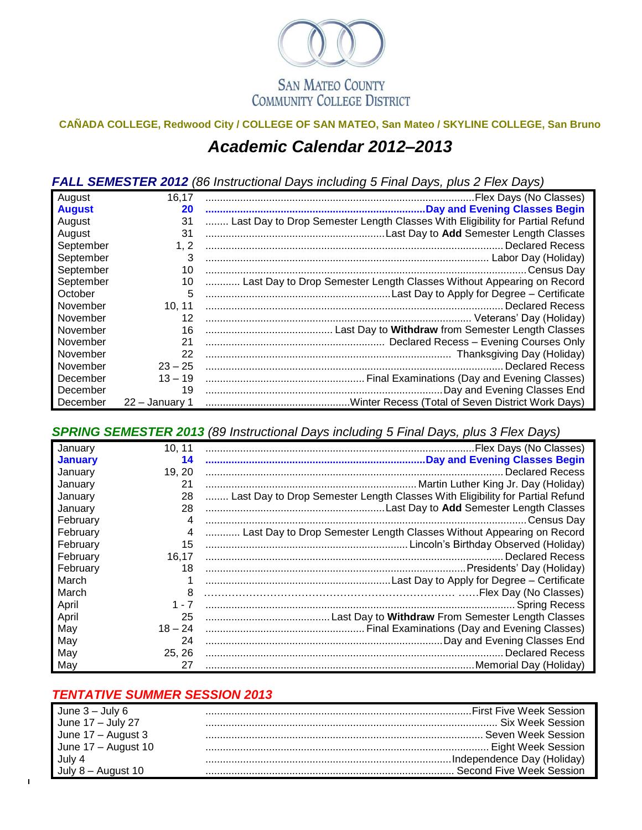

## **CAÑADA COLLEGE, Redwood City / COLLEGE OF SAN MATEO, San Mateo / SKYLINE COLLEGE, San Bruno** *Academic Calendar 2012–2013*

*FALL SEMESTER 2012 (86 Instructional Days including 5 Final Days, plus 2 Flex Days)*

| August        | 16,17          |                                                                              |
|---------------|----------------|------------------------------------------------------------------------------|
| <b>August</b> | 20             |                                                                              |
| August        | 31             | Last Day to Drop Semester Length Classes With Eligibility for Partial Refund |
| August        | 31             |                                                                              |
| September     | 1, 2           |                                                                              |
| September     | 3              |                                                                              |
| September     | 10             |                                                                              |
| September     | 10             | Last Day to Drop Semester Length Classes Without Appearing on Record         |
| October       | 5              |                                                                              |
| November      | 10, 11         |                                                                              |
| November      | 12             |                                                                              |
| November      | 16             |                                                                              |
| November      | 21             |                                                                              |
| November      | 22             |                                                                              |
| November      | $23 - 25$      | Declared Recess                                                              |
| December      | $13 - 19$      |                                                                              |
| December      | 19             |                                                                              |
| December      | 22 - January 1 |                                                                              |

*SPRING SEMESTER 2013 (89 Instructional Days including 5 Final Days, plus 3 Flex Days)*

| January        | 10, 11    |                                                                              |
|----------------|-----------|------------------------------------------------------------------------------|
| <b>January</b> | 14        |                                                                              |
| January        | 19, 20    |                                                                              |
| January        | 21        |                                                                              |
| January        | 28        | Last Day to Drop Semester Length Classes With Eligibility for Partial Refund |
| January        | 28        |                                                                              |
| February       | 4         |                                                                              |
| February       | 4         | Last Day to Drop Semester Length Classes Without Appearing on Record         |
| February       | 15        | Lincoln's Birthday Observed (Holiday)                                        |
| February       | 16.17     |                                                                              |
| February       | 18        |                                                                              |
| March          |           |                                                                              |
| March          | 8         |                                                                              |
| April          | $1 - 7$   |                                                                              |
| April          | 25        |                                                                              |
| May            | $18 - 24$ |                                                                              |
| May            | 24        |                                                                              |
| May            | 25, 26    |                                                                              |
| May            | 27        |                                                                              |

## *TENTATIVE SUMMER SESSION 2013*

| June $3 -$ July 6   |  |
|---------------------|--|
| June 17 - July 27   |  |
| June 17 - August 3  |  |
| June 17 - August 10 |  |
| July 4              |  |
|                     |  |